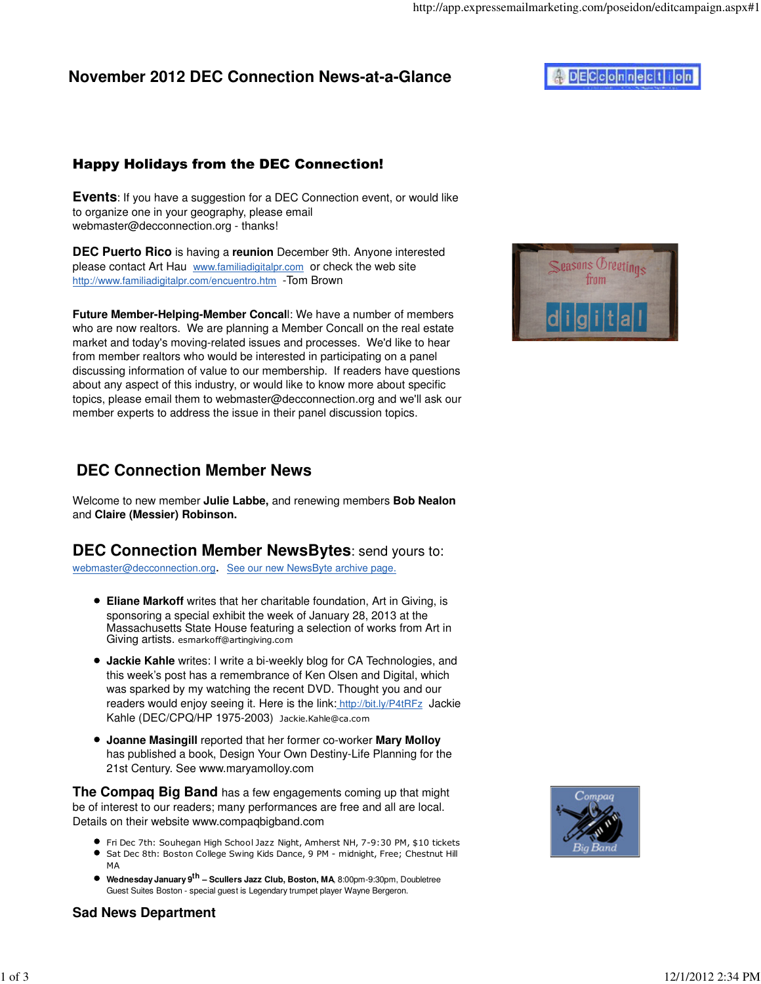### Happy Holidays from the DEC Connection!

**Events:** If you have a suggestion for a DEC Connection event, or would like to organize one in your geography, please email webmaster@decconnection.org - thanks!

**DEC Puerto Rico** is having a **reunion** December 9th. Anyone interested please contact Art Hau www.familiadigitalpr.com or check the web site http://www.familiadigitalpr.com/encuentro.htm -Tom Brown

**Future Member-Helping-Member Concal**l: We have a number of members who are now realtors. We are planning a Member Concall on the real estate market and today's moving-related issues and processes. We'd like to hear from member realtors who would be interested in participating on a panel discussing information of value to our membership. If readers have questions about any aspect of this industry, or would like to know more about specific topics, please email them to webmaster@decconnection.org and we'll ask our member experts to address the issue in their panel discussion topics.



# **DEC Connection Member News**

Welcome to new member **Julie Labbe,** and renewing members **Bob Nealon** and **Claire (Messier) Robinson.**

## **DEC Connection Member NewsBytes**: send yours to:

webmaster@decconnection.org. See our new NewsByte archive page.

- **Eliane Markoff** writes that her charitable foundation, Art in Giving, is sponsoring a special exhibit the week of January 28, 2013 at the Massachusetts State House featuring a selection of works from Art in Giving artists. esmarkoff@artingiving.com
- **Jackie Kahle** writes: I write a bi-weekly blog for CA Technologies, and this week's post has a remembrance of Ken Olsen and Digital, which was sparked by my watching the recent DVD. Thought you and our readers would enjoy seeing it. Here is the link: http://bit.ly/P4tRFz Jackie Kahle (DEC/CPQ/HP 1975-2003) Jackie.Kahle@ca.com
- **Joanne Masingill** reported that her former co-worker **Mary Molloy** has published a book, Design Your Own Destiny-Life Planning for the 21st Century. See www.maryamolloy.com

**The Compaq Big Band** has a few engagements coming up that might be of interest to our readers; many performances are free and all are local. Details on their website www.compaqbigband.com

- Fri Dec 7th: Souhegan High School Jazz Night, Amherst NH, 7-9:30 PM, \$10 tickets
- Sat Dec 8th: Boston College Swing Kids Dance, 9 PM midnight, Free; Chestnut Hill MA
- **Wednesday January 9th Scullers Jazz Club, Boston, MA**, 8:00pm-9:30pm, Doubletree Guest Suites Boston - special guest is Legendary trumpet player Wayne Bergeron.



#### **Sad News Department**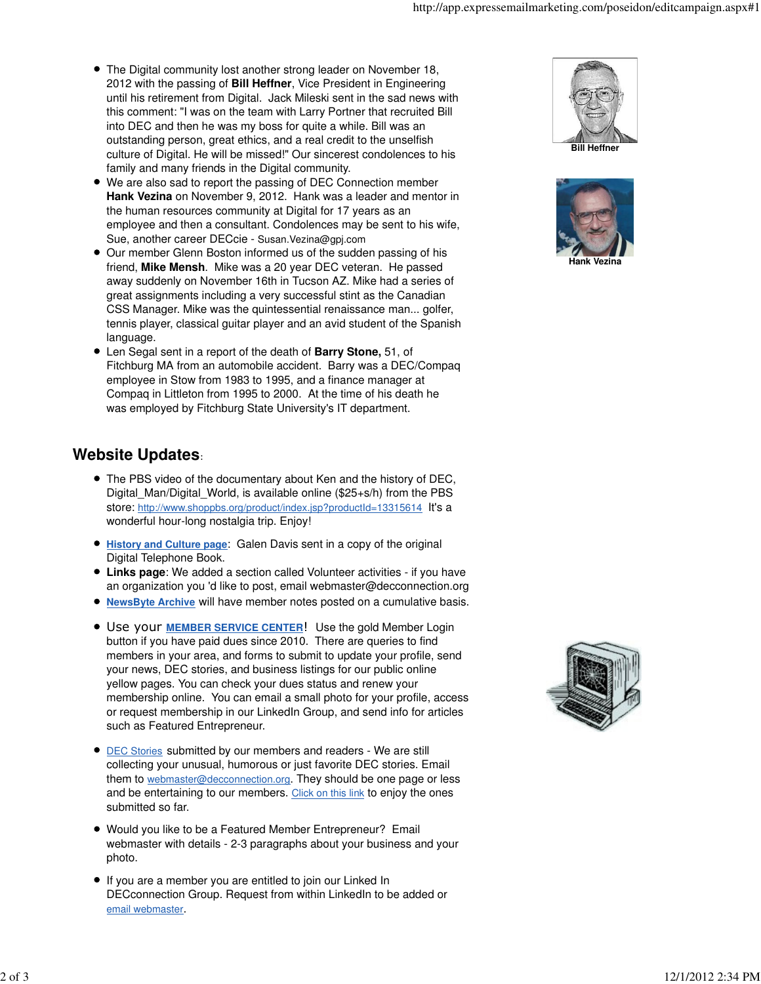- The Digital community lost another strong leader on November 18, 2012 with the passing of **Bill Heffner**, Vice President in Engineering until his retirement from Digital. Jack Mileski sent in the sad news with this comment: "I was on the team with Larry Portner that recruited Bill into DEC and then he was my boss for quite a while. Bill was an outstanding person, great ethics, and a real credit to the unselfish culture of Digital. He will be missed!" Our sincerest condolences to his family and many friends in the Digital community.
- We are also sad to report the passing of DEC Connection member **Hank Vezina** on November 9, 2012. Hank was a leader and mentor in the human resources community at Digital for 17 years as an employee and then a consultant. Condolences may be sent to his wife, Sue, another career DECcie - Susan.Vezina@gpj.com
- Our member Glenn Boston informed us of the sudden passing of his friend, **Mike Mensh**. Mike was a 20 year DEC veteran. He passed away suddenly on November 16th in Tucson AZ. Mike had a series of great assignments including a very successful stint as the Canadian CSS Manager. Mike was the quintessential renaissance man... golfer, tennis player, classical guitar player and an avid student of the Spanish language.
- Len Segal sent in a report of the death of **Barry Stone,** 51, of Fitchburg MA from an automobile accident. Barry was a DEC/Compaq employee in Stow from 1983 to 1995, and a finance manager at Compaq in Littleton from 1995 to 2000. At the time of his death he was employed by Fitchburg State University's IT department.

# **Website Updates**:

- The PBS video of the documentary about Ken and the history of DEC, Digital Man/Digital World, is available online (\$25+s/h) from the PBS store: http://www.shoppbs.org/product/index.jsp?productId=13315614 It's a wonderful hour-long nostalgia trip. Enjoy!
- **History and Culture page**: Galen Davis sent in a copy of the original Digital Telephone Book.
- **Links page**: We added a section called Volunteer activities if you have an organization you 'd like to post, email webmaster@decconnection.org
- **NewsByte Archive** will have member notes posted on a cumulative basis.
- Use your **MEMBER SERVICE CENTER**! Use the gold Member Login button if you have paid dues since 2010. There are queries to find members in your area, and forms to submit to update your profile, send your news, DEC stories, and business listings for our public online yellow pages. You can check your dues status and renew your membership online. You can email a small photo for your profile, access or request membership in our LinkedIn Group, and send info for articles such as Featured Entrepreneur.
- **DEC Stories submitted by our members and readers We are still** collecting your unusual, humorous or just favorite DEC stories. Email them to webmaster@decconnection.org. They should be one page or less and be entertaining to our members. Click on this link to enjoy the ones submitted so far.
- Would you like to be a Featured Member Entrepreneur? Email webmaster with details - 2-3 paragraphs about your business and your photo.
- If you are a member you are entitled to join our Linked In DECconnection Group. Request from within LinkedIn to be added or email webmaster.